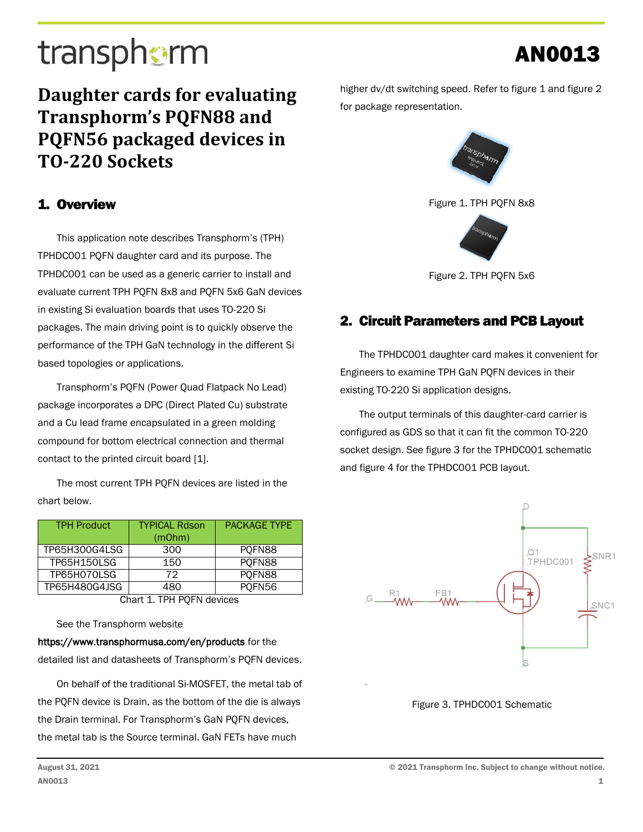# transphorm

### **Daughter cards for evaluating Transphorm's PQFN88 and PQFN56 packaged devices in TO-220 Sockets**

### 1. Overview

This application note describes Transphorm's (TPH) TPHDC001 PQFN daughter card and its purpose. The TPHDC001 can be used as a generic carrier to install and evaluate current TPH PQFN 8x8 and PQFN 5x6 GaN devices in existing Si evaluation boards that uses TO-220 Si packages. The main driving point is to quickly observe the performance of the TPH GaN technology in the different Si based topologies or applications.

Transphorm's PQFN (Power Quad Flatpack No Lead) package incorporates a DPC (Direct Plated Cu) substrate and a Cu lead frame encapsulated in a green molding compound for bottom electrical connection and thermal contact to the printed circuit board [1].

The most current TPH PQFN devices are listed in the chart below.

| <b>TPH Product</b>       | <b>TYPICAL Rdson</b><br>(mOhm) | <b>PACKAGE TYPE</b> |  |  |
|--------------------------|--------------------------------|---------------------|--|--|
|                          |                                |                     |  |  |
| TP65H300G4LSG            | 300                            | PQFN88              |  |  |
| <b>TP65H150LSG</b>       | 150                            | POFN88              |  |  |
| TP65H070LSG              | 72                             | PQFN88              |  |  |
| TP65H480G4JSG            | 480                            | PQFN56              |  |  |
| Chart 1 TDU DOEN dovisor |                                |                     |  |  |

Chart 1. TPH PQFN devices

See the Transphorm website

https://www.transphormusa.com/en/products for the detailed list and datasheets of Transphorm's PQFN devices.

On behalf of the traditional Si-MOSFET, the metal tab of the PQFN device is Drain, as the bottom of the die is always the Drain terminal. For Transphorm's GaN PQFN devices, the metal tab is the Source terminal. GaN FETs have much

higher dv/dt switching speed. Refer to figure 1 and figure 2 for package representation.

AN0013



Figure 1. TPH PQFN 8x8



Figure 2. TPH PQFN 5x6

### 2. Circuit Parameters and PCB Layout

The TPHDC001 daughter card makes it convenient for Engineers to examine TPH GaN PQFN devices in their existing TO-220 Si application designs.

The output terminals of this daughter-card carrier is configured as GDS so that it can fit the common TO-220 socket design. See figure 3 for the TPHDC001 schematic and figure 4 for the TPHDC001 PCB layout.



Figure 3. TPHDC001 Schematic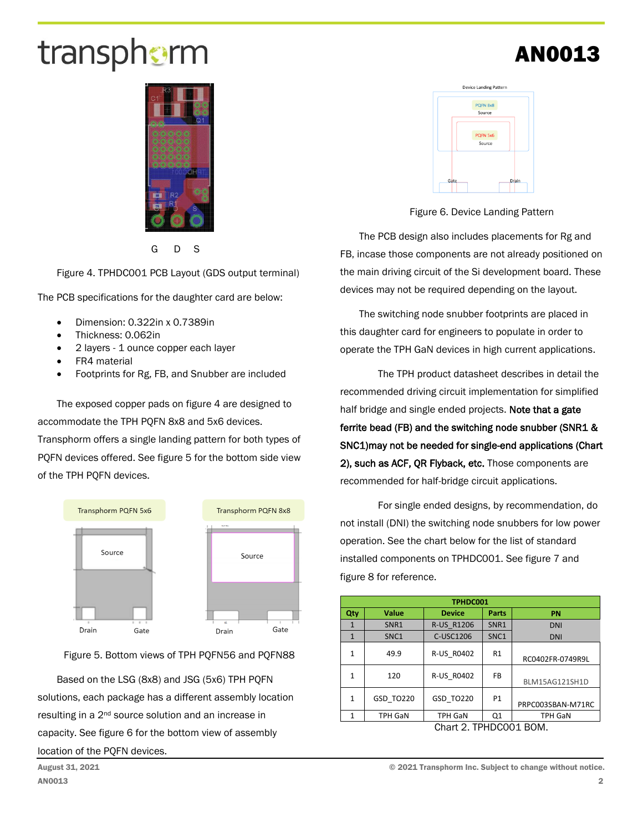# transphorm

G D S

Figure 4. TPHDC001 PCB Layout (GDS output terminal)

The PCB specifications for the daughter card are below:

- Dimension: 0.322in x 0.7389in
- Thickness: 0.062in
- 2 layers 1 ounce copper each layer
- FR4 material
- Footprints for Rg, FB, and Snubber are included

The exposed copper pads on figure 4 are designed to accommodate the TPH PQFN 8x8 and 5x6 devices. Transphorm offers a single landing pattern for both types of PQFN devices offered. See figure 5 for the bottom side view of the TPH PQFN devices.



Figure 5. Bottom views of TPH PQFN56 and PQFN88

Based on the LSG (8x8) and JSG (5x6) TPH PQFN solutions, each package has a different assembly location resulting in a 2nd source solution and an increase in capacity. See figure 6 for the bottom view of assembly location of the PQFN devices.



Figure 6. Device Landing Pattern

The PCB design also includes placements for Rg and FB, incase those components are not already positioned on the main driving circuit of the Si development board. These devices may not be required depending on the layout.

The switching node snubber footprints are placed in this daughter card for engineers to populate in order to operate the TPH GaN devices in high current applications.

The TPH product datasheet describes in detail the recommended driving circuit implementation for simplified half bridge and single ended projects. Note that a gate ferrite bead (FB) and the switching node snubber (SNR1 & SNC1)may not be needed for single-end applications (Chart 2), such as ACF, QR Flyback, etc. Those components are recommended for half-bridge circuit applications.

For single ended designs, by recommendation, do not install (DNI) the switching node snubbers for low power operation. See the chart below for the list of standard installed components on TPHDC001. See figure 7 and figure 8 for reference.

| TPHDC001               |                  |                   |           |                   |
|------------------------|------------------|-------------------|-----------|-------------------|
| Qty                    | <b>Value</b>     | <b>Device</b>     | Parts     | <b>PN</b>         |
| 1                      | SNR1             | <b>R-US R1206</b> | SNR1      | <b>DNI</b>        |
| $\mathbf{1}$           | SNC <sub>1</sub> | C-USC1206         | SNC1      | <b>DNI</b>        |
| 1                      | 49.9             | R-US R0402        | R1        | RC0402FR-0749R9L  |
| 1                      | 120              | R-US R0402        | <b>FB</b> | BLM15AG121SH1D    |
| 1                      | GSD TO220        | GSD TO220         | <b>P1</b> | PRPC003SBAN-M71RC |
| 1                      | <b>TPH GaN</b>   | <b>TPH GaN</b>    | Q1        | <b>TPH GaN</b>    |
| Chart 2. TPHDC001 BOM. |                  |                   |           |                   |

## AN0013